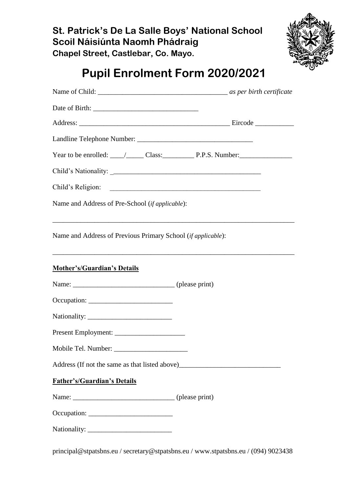# **St. Patrick's De La Salle Boys' National School Scoil Náisiúnta Naomh Phádraig Chapel Street, Castlebar, Co. Mayo.**



# **Pupil Enrolment Form 2020/2021**

| Year to be enrolled: $\_\_\_\_\_\_\_$ Class: $\_\_\_\_$ P.P.S. Number:                                                  |  |
|-------------------------------------------------------------------------------------------------------------------------|--|
|                                                                                                                         |  |
| Child's Religion:                                                                                                       |  |
| Name and Address of Pre-School (if applicable):                                                                         |  |
| Name and Address of Previous Primary School (if applicable):                                                            |  |
| ,我们也不能在这里的时候,我们也不能在这里的时候,我们也不能会在这里的时候,我们也不能会在这里的时候,我们也不能会在这里的时候,我们也不能会在这里的时候,我们也不<br><b>Mother's/Guardian's Details</b> |  |
|                                                                                                                         |  |
|                                                                                                                         |  |
|                                                                                                                         |  |
|                                                                                                                         |  |
| Mobile Tel. Number: _____________                                                                                       |  |
|                                                                                                                         |  |
| <b>Father's/Guardian's Details</b>                                                                                      |  |
|                                                                                                                         |  |
|                                                                                                                         |  |
|                                                                                                                         |  |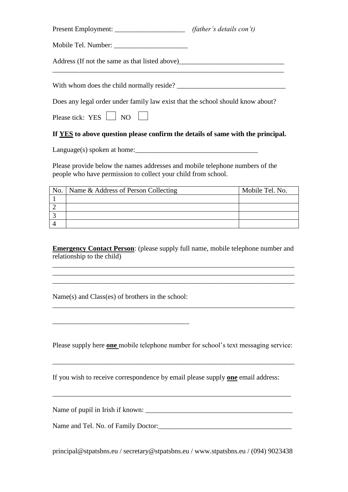|                                                                                | <i>(father's details con't)</i> |  |  |  |
|--------------------------------------------------------------------------------|---------------------------------|--|--|--|
|                                                                                |                                 |  |  |  |
|                                                                                |                                 |  |  |  |
| With whom does the child normally reside?                                      |                                 |  |  |  |
| Does any legal order under family law exist that the school should know about? |                                 |  |  |  |
| Please tick: $YES \t{ is not one}$                                             |                                 |  |  |  |

## **If YES to above question please confirm the details of same with the principal.**

Language(s) spoken at home:\_\_\_\_\_\_\_\_\_\_\_\_\_\_\_\_\_\_\_\_\_\_\_\_\_\_\_\_\_\_\_\_\_\_\_

Please provide below the names addresses and mobile telephone numbers of the people who have permission to collect your child from school.

| No.   Name & Address of Person Collecting | Mobile Tel. No. |
|-------------------------------------------|-----------------|
|                                           |                 |
|                                           |                 |
|                                           |                 |
|                                           |                 |

**Emergency Contact Person**: (please supply full name, mobile telephone number and relationship to the child)

\_\_\_\_\_\_\_\_\_\_\_\_\_\_\_\_\_\_\_\_\_\_\_\_\_\_\_\_\_\_\_\_\_\_\_\_\_\_\_\_\_\_\_\_\_\_\_\_\_\_\_\_\_\_\_\_\_\_\_\_\_\_\_\_\_\_\_\_\_ \_\_\_\_\_\_\_\_\_\_\_\_\_\_\_\_\_\_\_\_\_\_\_\_\_\_\_\_\_\_\_\_\_\_\_\_\_\_\_\_\_\_\_\_\_\_\_\_\_\_\_\_\_\_\_\_\_\_\_\_\_\_\_\_\_\_\_\_\_ \_\_\_\_\_\_\_\_\_\_\_\_\_\_\_\_\_\_\_\_\_\_\_\_\_\_\_\_\_\_\_\_\_\_\_\_\_\_\_\_\_\_\_\_\_\_\_\_\_\_\_\_\_\_\_\_\_\_\_\_\_\_\_\_\_\_\_\_\_

Name(s) and Class(es) of brothers in the school:

\_\_\_\_\_\_\_\_\_\_\_\_\_\_\_\_\_\_\_\_\_\_\_\_\_\_\_\_\_\_\_\_\_\_\_\_\_\_\_

Please supply here **one** mobile telephone number for school's text messaging service:

\_\_\_\_\_\_\_\_\_\_\_\_\_\_\_\_\_\_\_\_\_\_\_\_\_\_\_\_\_\_\_\_\_\_\_\_\_\_\_\_\_\_\_\_\_\_\_\_\_\_\_\_\_\_\_\_\_\_\_\_\_\_\_\_\_\_\_\_\_

\_\_\_\_\_\_\_\_\_\_\_\_\_\_\_\_\_\_\_\_\_\_\_\_\_\_\_\_\_\_\_\_\_\_\_\_\_\_\_\_\_\_\_\_\_\_\_\_\_\_\_\_\_\_\_\_\_\_\_\_\_\_\_\_\_\_\_\_

If you wish to receive correspondence by email please supply **one** email address:

Name of pupil in Irish if known:

Name and Tel. No. of Family Doctor: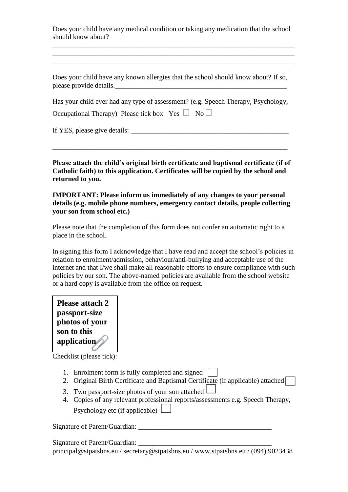Does your child have any medical condition or taking any medication that the school should know about?

\_\_\_\_\_\_\_\_\_\_\_\_\_\_\_\_\_\_\_\_\_\_\_\_\_\_\_\_\_\_\_\_\_\_\_\_\_\_\_\_\_\_\_\_\_\_\_\_\_\_\_\_\_\_\_\_\_\_\_\_\_\_\_\_\_\_\_\_\_ \_\_\_\_\_\_\_\_\_\_\_\_\_\_\_\_\_\_\_\_\_\_\_\_\_\_\_\_\_\_\_\_\_\_\_\_\_\_\_\_\_\_\_\_\_\_\_\_\_\_\_\_\_\_\_\_\_\_\_\_\_\_\_\_\_\_\_\_\_ \_\_\_\_\_\_\_\_\_\_\_\_\_\_\_\_\_\_\_\_\_\_\_\_\_\_\_\_\_\_\_\_\_\_\_\_\_\_\_\_\_\_\_\_\_\_\_\_\_\_\_\_\_\_\_\_\_\_\_\_\_\_\_\_\_\_\_\_\_

Does your child have any known allergies that the school should know about? If so, please provide details.

Has your child ever had any type of assessment? (e.g. Speech Therapy, Psychology,

Occupational Therapy) Please tick box Yes  $\Box$  No  $\Box$ 

If YES, please give details: \_\_\_\_\_\_\_\_\_\_\_\_\_\_\_\_\_\_\_\_\_\_\_\_\_\_\_\_\_\_\_\_\_\_\_\_\_\_\_\_\_\_\_\_\_

**Please attach the child's original birth certificate and baptismal certificate (if of Catholic faith) to this application. Certificates will be copied by the school and returned to you.**

\_\_\_\_\_\_\_\_\_\_\_\_\_\_\_\_\_\_\_\_\_\_\_\_\_\_\_\_\_\_\_\_\_\_\_\_\_\_\_\_\_\_\_\_\_\_\_\_\_\_\_\_\_\_\_\_\_\_\_\_\_\_\_\_\_\_\_

**IMPORTANT: Please inform us immediately of any changes to your personal details (e.g. mobile phone numbers, emergency contact details, people collecting your son from school etc.)** 

Please note that the completion of this form does not confer an automatic right to a place in the school.

In signing this form I acknowledge that I have read and accept the school's policies in relation to enrolment/admission, behaviour/anti-bullying and acceptable use of the internet and that I/we shall make all reasonable efforts to ensure compliance with such policies by our son. The above-named policies are available from the school website or a hard copy is available from the office on request.



Checklist (please tick):

- 1. Enrolment form is fully completed and signed
- 2. Original Birth Certificate and Baptismal Certificate (if applicable) attached
- 3. Two passport-size photos of your son attached
- 4. Copies of any relevant professional reports/assessments e.g. Speech Therapy, Psychology etc (if applicable)  $\Box$

Signature of Parent/Guardian: \_\_\_\_\_\_\_\_\_\_\_\_\_\_\_\_\_\_\_\_\_\_\_\_\_\_\_\_\_\_\_\_\_\_\_\_\_\_

principal@stpatsbns.eu / secretary@stpatsbns.eu / www.stpatsbns.eu / (094) 9023438 Signature of Parent/Guardian: \_\_\_\_\_\_\_\_\_\_\_\_\_\_\_\_\_\_\_\_\_\_\_\_\_\_\_\_\_\_\_\_\_\_\_\_\_\_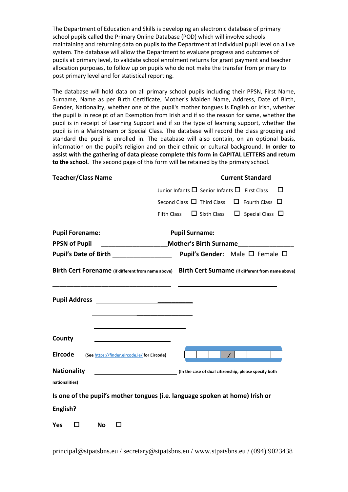The Department of Education and Skills is developing an electronic database of primary school pupils called the Primary Online Database (POD) which will involve schools maintaining and returning data on pupils to the Department at individual pupil level on a live system. The database will allow the Department to evaluate progress and outcomes of pupils at primary level, to validate school enrolment returns for grant payment and teacher allocation purposes, to follow up on pupils who do not make the transfer from primary to post primary level and for statistical reporting.

The database will hold data on all primary school pupils including their PPSN, First Name, Surname, Name as per Birth Certificate, Mother's Maiden Name, Address, Date of Birth, Gender, Nationality, whether one of the pupil's mother tongues is English or Irish, whether the pupil is in receipt of an Exemption from Irish and if so the reason for same, whether the pupil is in receipt of Learning Support and if so the type of learning support, whether the pupil is in a Mainstream or Special Class. The database will record the class grouping and standard the pupil is enrolled in. The database will also contain, on an optional basis, information on the pupil's religion and on their ethnic or cultural background. **In order to assist with the gathering of data please complete this form in CAPITAL LETTERS and return to the school.** The second page of this form will be retained by the primary school.

| <b>Teacher/Class Name</b>                                                                                | <b>Current Standard</b>                                                                              |  |  |  |  |
|----------------------------------------------------------------------------------------------------------|------------------------------------------------------------------------------------------------------|--|--|--|--|
|                                                                                                          | Junior Infants $\Box$ Senior Infants $\Box$ First Class<br>$\mathbf{I}$                              |  |  |  |  |
|                                                                                                          | Second Class $\Box$ Third Class<br>$\Box$ Fourth Class $\Box$                                        |  |  |  |  |
|                                                                                                          | $\Box$ Sixth Class $\Box$ Special Class $\Box$<br><b>Fifth Class</b>                                 |  |  |  |  |
|                                                                                                          |                                                                                                      |  |  |  |  |
| ______________________________Mother's Birth Surname____________________________<br><b>PPSN of Pupil</b> |                                                                                                      |  |  |  |  |
|                                                                                                          |                                                                                                      |  |  |  |  |
|                                                                                                          | Birth Cert Forename (if different from name above) Birth Cert Surname (if different from name above) |  |  |  |  |
|                                                                                                          |                                                                                                      |  |  |  |  |
| County                                                                                                   |                                                                                                      |  |  |  |  |
| <b>Eircode</b><br>(See https://finder.eircode.ie/ for Eircode)                                           |                                                                                                      |  |  |  |  |
| <b>Nationality</b>                                                                                       | (In the case of dual citizenship, please specify both                                                |  |  |  |  |
| nationalities)                                                                                           |                                                                                                      |  |  |  |  |
|                                                                                                          | Is one of the pupil's mother tongues (i.e. language spoken at home) Irish or                         |  |  |  |  |
| English?                                                                                                 |                                                                                                      |  |  |  |  |
| Yes<br><b>No</b>                                                                                         |                                                                                                      |  |  |  |  |